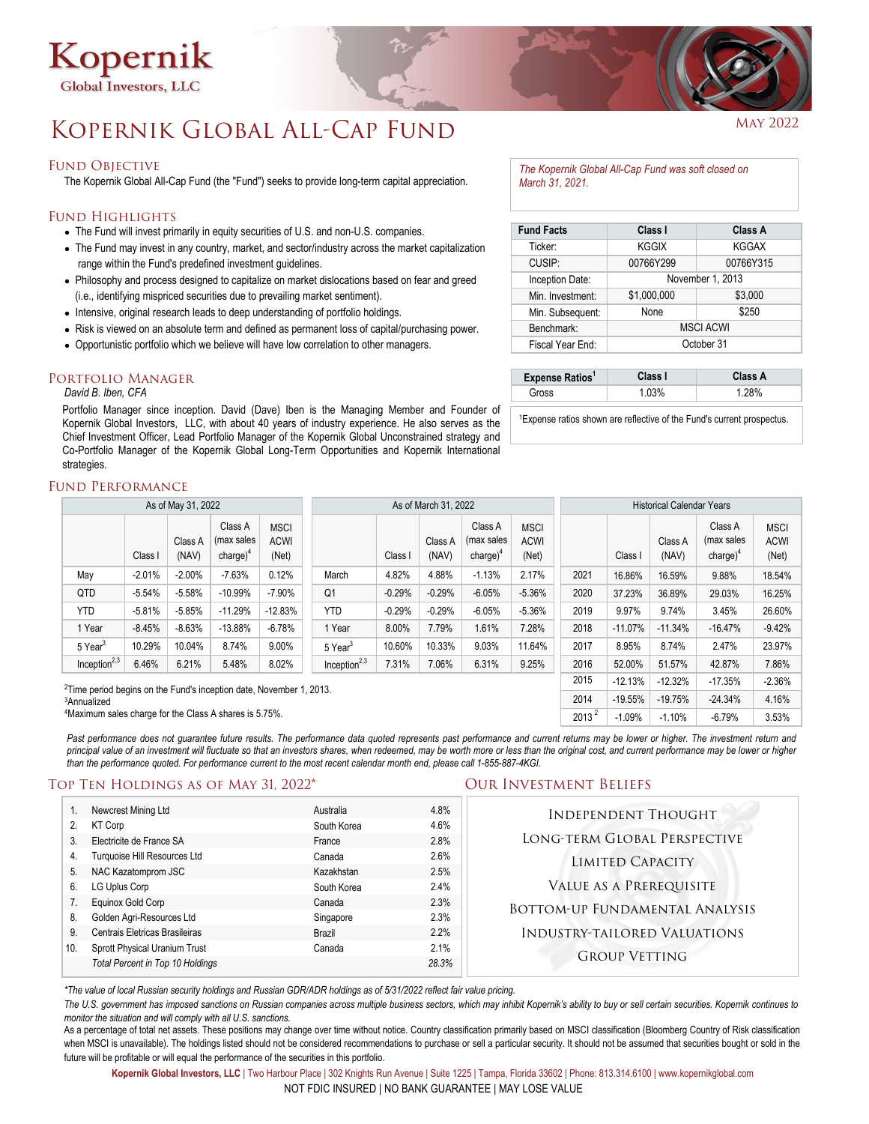

# KOPERNIK GLOBAL ALL-CAP FUND MAY 2022

### FUND OBJECTIVE

The Kopernik Global All-Cap Fund (the "Fund") seeks to provide long-term capital appreciation.

### Fund Highlights

- The Fund will invest primarily in equity securities of U.S. and non-U.S. companies.
- The Fund may invest in any country, market, and sector/industry across the market capitalization range within the Fund's predefined investment guidelines.
- Philosophy and process designed to capitalize on market dislocations based on fear and greed (i.e., identifying mispriced securities due to prevailing market sentiment).
- Intensive, original research leads to deep understanding of portfolio holdings.
- Risk is viewed on an absolute term and defined as permanent loss of capital/purchasing power.
- Opportunistic portfolio which we believe will have low correlation to other managers.

### **PORTFOLIO MANAGER**

### *David B. Iben, CFA*

Portfolio Manager since inception. David (Dave) Iben is the Managing Member and Founder of Kopernik Global Investors, LLC, with about 40 years of industry experience. He also serves as the Chief Investment Officer, Lead Portfolio Manager of the Kopernik Global Unconstrained strategy and Co-Portfolio Manager of the Kopernik Global Long-Term Opportunities and Kopernik International strategies.

### Fund Performance

| As of May 31, 2022                                                              |          |                  |                                      | As of March 31, 2022                |                     |          |                  | <b>Historical Calendar Years</b>      |                                     |           |           |                  |                                       |                                     |
|---------------------------------------------------------------------------------|----------|------------------|--------------------------------------|-------------------------------------|---------------------|----------|------------------|---------------------------------------|-------------------------------------|-----------|-----------|------------------|---------------------------------------|-------------------------------------|
|                                                                                 | Class I  | Class A<br>(NAV) | Class A<br>(max sales<br>$charge)^4$ | <b>MSCI</b><br><b>ACWI</b><br>(Net) |                     | Class I  | Class A<br>(NAV) | Class A<br>(max sales<br>charge $)^4$ | <b>MSCI</b><br><b>ACWI</b><br>(Net) |           | Class I   | Class A<br>(NAV) | Class A<br>(max sales<br>charge $)^4$ | <b>MSCI</b><br><b>ACWI</b><br>(Net) |
| May                                                                             | $-2.01%$ | $-2.00%$         | $-7.63%$                             | 0.12%                               | March               | 4.82%    | 4.88%            | $-1.13%$                              | 2.17%                               | 2021      | 16.86%    | 16.59%           | 9.88%                                 | 18.54%                              |
| QTD                                                                             | $-5.54%$ | $-5.58%$         | $-10.99%$                            | $-7.90%$                            | Q <sub>1</sub>      | $-0.29%$ | $-0.29%$         | $-6.05%$                              | $-5.36%$                            | 2020      | 37.23%    | 36.89%           | 29.03%                                | 16.25%                              |
| <b>YTD</b>                                                                      | $-5.81%$ | $-5.85%$         | $-11.29%$                            | $-12.83%$                           | <b>YTD</b>          | $-0.29%$ | $-0.29%$         | $-6.05%$                              | $-5.36%$                            | 2019      | 9.97%     | 9.74%            | 3.45%                                 | 26.60%                              |
| 1 Year                                                                          | $-8.45%$ | $-8.63%$         | $-13.88%$                            | $-6.78%$                            | 1 Year              | 8.00%    | 7.79%            | 1.61%                                 | 7.28%                               | 2018      | $-11.07%$ | $-11.34%$        | $-16.47%$                             | $-9.42%$                            |
| 5 Year <sup>3</sup>                                                             | 10.29%   | 10.04%           | 8.74%                                | 9.00%                               | 5 Year <sup>3</sup> | 10.60%   | 10.33%           | 9.03%                                 | 11.64%                              | 2017      | 8.95%     | 8.74%            | 2.47%                                 | 23.97%                              |
| Inception $^{2,3}$                                                              | 6.46%    | 6.21%            | 5.48%                                | 8.02%                               | Inception $^{2,3}$  | 7.31%    | 7.06%            | 6.31%                                 | 9.25%                               | 2016      | 52.00%    | 51.57%           | 42.87%                                | 7.86%                               |
| <sup>2</sup> Time period begins on the Fund's inception date, November 1, 2013. |          |                  |                                      |                                     |                     |          | 2015             | $-12.13%$                             | $-12.32%$                           | $-17.35%$ | $-2.36%$  |                  |                                       |                                     |
| <sup>3</sup> Annualized                                                         |          |                  |                                      |                                     |                     |          | 2014             | $-19.55%$                             | $-19.75%$                           | $-24.34%$ | 4.16%     |                  |                                       |                                     |

4 Maximum sales charge for the Class A shares is 5.75%.

Past performance does not guarantee future results. The performance data quoted represents past performance and current returns may be lower or higher. The investment return and principal value of an investment will fluctuate so that an investors shares, when redeemed, may be worth more or less than the original cost, and current performance may be lower or higher than the performance quoted. For performance current to the most recent calendar month end, please call 1-855-887-4KGI.

## Top Ten Holdings as of May 31, 2022\* Our Investment Beliefs

|                | Newcrest Mining Ltd              | Australia   | 4.8%  | <b>INDEPENDENT THOUGHT</b>            |
|----------------|----------------------------------|-------------|-------|---------------------------------------|
| 2.             | <b>KT Corp</b>                   | South Korea | 4.6%  |                                       |
| 3 <sub>1</sub> | Electricite de France SA         | France      | 2.8%  | LONG-TERM GLOBAL PERSPECTIVE          |
| 4.             | Turquoise Hill Resources Ltd     | Canada      | 2.6%  | <b>LIMITED CAPACITY</b>               |
| 5.             | NAC Kazatomprom JSC              | Kazakhstan  | 2.5%  |                                       |
| 6.             | LG Uplus Corp                    | South Korea | 2.4%  | VALUE AS A PREREQUISITE               |
|                | Equinox Gold Corp                | Canada      | 2.3%  | <b>BOTTOM-UP FUNDAMENTAL ANALYSIS</b> |
| 8.             | Golden Agri-Resources Ltd        | Singapore   | 2.3%  |                                       |
| 9.             | Centrais Eletricas Brasileiras   | Brazil      | 2.2%  | <b>INDUSTRY-TAILORED VALUATIONS</b>   |
| 10.            | Sprott Physical Uranium Trust    | Canada      | 2.1%  | <b>GROUP VETTING</b>                  |
|                | Total Percent in Top 10 Holdings |             | 28.3% |                                       |

*\*The value of local Russian security holdings and Russian GDR/ADR holdings as of 5/31/2022 reflect fair value pricing.* 

The U.S. government has imposed sanctions on Russian companies across multiple business sectors, which may inhibit Kopernik's ability to buy or sell certain securities. Kopernik continues to *monitor the situation and will comply with all U.S. sanctions.*

As a percentage of total net assets. These positions may change over time without notice. Country classification primarily based on MSCI classification (Bloomberg Country of Risk classification when MSCI is unavailable). The holdings listed should not be considered recommendations to purchase or sell a particular security. It should not be assumed that securities bought or sold in the future will be profitable or will equal the performance of the securities in this portfolio.

**Kopernik Global Investors, LLC** | Two Harbour Place | 302 Knights Run Avenue | Suite 1225 | Tampa, Florida 33602 | Phone: 813.314.6100 | www.kopernikglobal.com NOT FDIC INSURED | NO BANK GUARANTEE | MAY LOSE VALUE

*The Kopernik Global All-Cap Fund was soft closed on March 31, 2021.*

| <b>Fund Facts</b> | Class I          | Class A      |  |  |  |
|-------------------|------------------|--------------|--|--|--|
| Ticker:           | <b>KGGIX</b>     | <b>KGGAX</b> |  |  |  |
| CUSIP:            | 00766Y299        | 00766Y315    |  |  |  |
| Inception Date:   | November 1, 2013 |              |  |  |  |
| Min. Investment:  | \$1,000,000      | \$3,000      |  |  |  |
| Min. Subsequent:  | None             | \$250        |  |  |  |
| Benchmark:        | <b>MSCI ACWI</b> |              |  |  |  |
| Fiscal Year End:  | October 31       |              |  |  |  |

| Expense Ratios <sup>1</sup> | Class I | Class A |
|-----------------------------|---------|---------|
| Gross                       | 1 በ3%   | 1 28%   |

1Expense ratios shown are reflective of the Fund's current prospectus.

 $2013^2$  -1.09% -1.10% -6.79% 3.53%